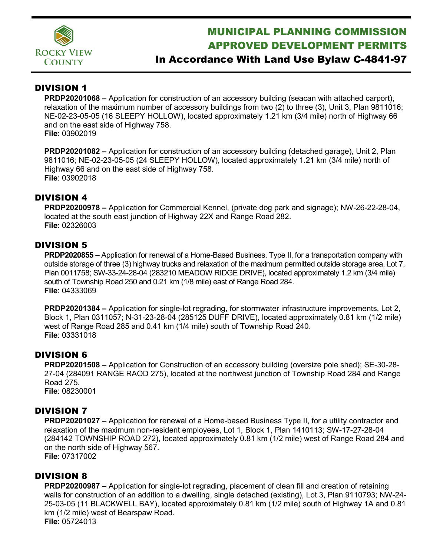

# MUNICIPAL PLANNING COMMISSION APPROVED DEVELOPMENT PERMITS

## In Accordance With Land Use Bylaw C-4841-97

#### DIVISION 1

**PRDP20201068 –** Application for construction of an accessory building (seacan with attached carport), relaxation of the maximum number of accessory buildings from two (2) to three (3), Unit 3, Plan 9811016; NE-02-23-05-05 (16 SLEEPY HOLLOW), located approximately 1.21 km (3/4 mile) north of Highway 66 and on the east side of Highway 758. **File**: 03902019

**PRDP20201082 –** Application for construction of an accessory building (detached garage), Unit 2, Plan 9811016; NE-02-23-05-05 (24 SLEEPY HOLLOW), located approximately 1.21 km (3/4 mile) north of Highway 66 and on the east side of Highway 758. **File**: 03902018

#### DIVISION 4

**PRDP20200978 –** Application for Commercial Kennel, (private dog park and signage); NW-26-22-28-04, located at the south east junction of Highway 22X and Range Road 282. **File**: 02326003

#### DIVISION 5

**PRDP2020855 –** Application for renewal of a Home-Based Business, Type II, for a transportation company with outside storage of three (3) highway trucks and relaxation of the maximum permitted outside storage area, Lot 7, Plan 0011758; SW-33-24-28-04 (283210 MEADOW RIDGE DRIVE), located approximately 1.2 km (3/4 mile) south of Township Road 250 and 0.21 km (1/8 mile) east of Range Road 284. **File**: 04333069

**PRDP20201384 –** Application for single-lot regrading, for stormwater infrastructure improvements, Lot 2, Block 1, Plan 0311057; N-31-23-28-04 (285125 DUFF DRIVE), located approximately 0.81 km (1/2 mile) west of Range Road 285 and 0.41 km (1/4 mile) south of Township Road 240. **File**: 03331018

#### DIVISION 6

**PRDP20201508 –** Application for Construction of an accessory building (oversize pole shed); SE-30-28- 27-04 (284091 RANGE RAOD 275), located at the northwest junction of Township Road 284 and Range Road 275. **File**: 08230001

#### DIVISION 7

**PRDP20201027 –** Application for renewal of a Home-based Business Type II, for a utility contractor and relaxation of the maximum non-resident employees, Lot 1, Block 1, Plan 1410113; SW-17-27-28-04 (284142 TOWNSHIP ROAD 272), located approximately 0.81 km (1/2 mile) west of Range Road 284 and on the north side of Highway 567.

**File**: 07317002

#### DIVISION 8

**PRDP20200987 –** Application for single-lot regrading, placement of clean fill and creation of retaining walls for construction of an addition to a dwelling, single detached (existing), Lot 3, Plan 9110793; NW-24- 25-03-05 (11 BLACKWELL BAY), located approximately 0.81 km (1/2 mile) south of Highway 1A and 0.81 km (1/2 mile) west of Bearspaw Road. **File**: 05724013